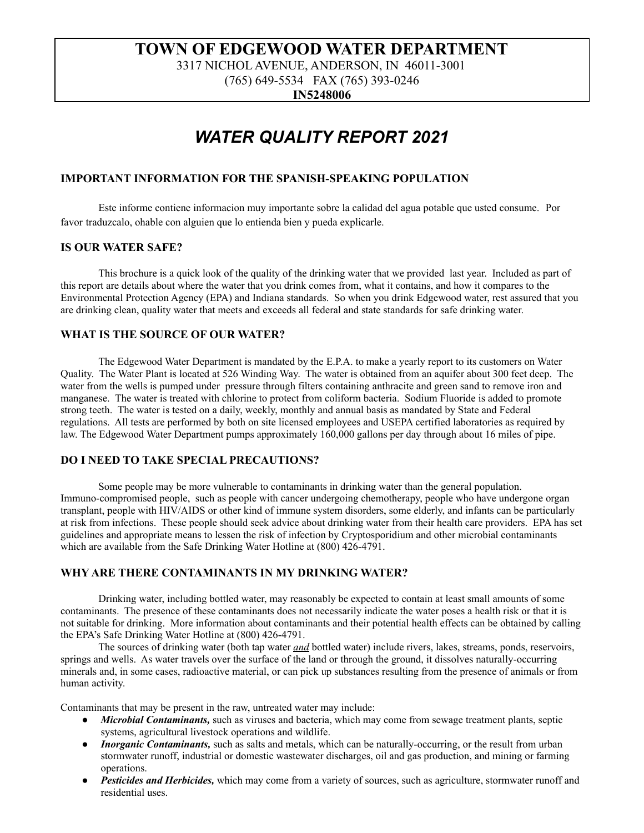# **TOWN OF EDGEWOOD WATER DEPARTMENT**

3317 NICHOL AVENUE, ANDERSON, IN 46011-3001

(765) 649-5534 FAX (765) 393-0246

**IN5248006**

# *WATER QUALITY REPORT 2021*

### **IMPORTANT INFORMATION FOR THE SPANISH-SPEAKING POPULATION**

Este informe contiene informacion muy importante sobre la calidad del agua potable que usted consume. Por favor traduzcalo, ohable con alguien que lo entienda bien y pueda explicarle.

#### **IS OUR WATER SAFE?**

This brochure is a quick look of the quality of the drinking water that we provided last year. Included as part of this report are details about where the water that you drink comes from, what it contains, and how it compares to the Environmental Protection Agency (EPA) and Indiana standards. So when you drink Edgewood water, rest assured that you are drinking clean, quality water that meets and exceeds all federal and state standards for safe drinking water.

### **WHAT IS THE SOURCE OF OUR WATER?**

The Edgewood Water Department is mandated by the E.P.A. to make a yearly report to its customers on Water Quality. The Water Plant is located at 526 Winding Way. The water is obtained from an aquifer about 300 feet deep. The water from the wells is pumped under pressure through filters containing anthracite and green sand to remove iron and manganese. The water is treated with chlorine to protect from coliform bacteria. Sodium Fluoride is added to promote strong teeth. The water is tested on a daily, weekly, monthly and annual basis as mandated by State and Federal regulations. All tests are performed by both on site licensed employees and USEPA certified laboratories as required by law. The Edgewood Water Department pumps approximately 160,000 gallons per day through about 16 miles of pipe.

## **DO I NEED TO TAKE SPECIAL PRECAUTIONS?**

Some people may be more vulnerable to contaminants in drinking water than the general population. Immuno-compromised people, such as people with cancer undergoing chemotherapy, people who have undergone organ transplant, people with HIV/AIDS or other kind of immune system disorders, some elderly, and infants can be particularly at risk from infections. These people should seek advice about drinking water from their health care providers. EPA has set guidelines and appropriate means to lessen the risk of infection by Cryptosporidium and other microbial contaminants which are available from the Safe Drinking Water Hotline at (800) 426-4791.

### **WHY ARE THERE CONTAMINANTS IN MY DRINKING WATER?**

Drinking water, including bottled water, may reasonably be expected to contain at least small amounts of some contaminants. The presence of these contaminants does not necessarily indicate the water poses a health risk or that it is not suitable for drinking. More information about contaminants and their potential health effects can be obtained by calling the EPA's Safe Drinking Water Hotline at (800) 426-4791.

The sources of drinking water (both tap water *and* bottled water) include rivers, lakes, streams, ponds, reservoirs, springs and wells. As water travels over the surface of the land or through the ground, it dissolves naturally-occurring minerals and, in some cases, radioactive material, or can pick up substances resulting from the presence of animals or from human activity.

Contaminants that may be present in the raw, untreated water may include:

- *Microbial Contaminants*, such as viruses and bacteria, which may come from sewage treatment plants, septic systems, agricultural livestock operations and wildlife.
- *Inorganic Contaminants,* such as salts and metals, which can be naturally-occurring, or the result from urban stormwater runoff, industrial or domestic wastewater discharges, oil and gas production, and mining or farming operations.
- Pesticides and Herbicides, which may come from a variety of sources, such as agriculture, stormwater runoff and residential uses.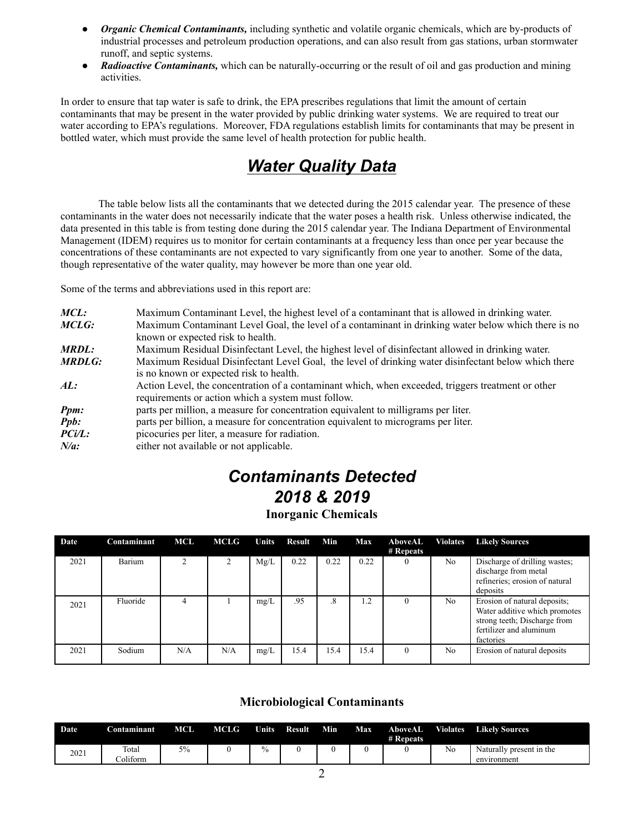- *Organic Chemical Contaminants,* including synthetic and volatile organic chemicals, which are by-products of industrial processes and petroleum production operations, and can also result from gas stations, urban stormwater runoff, and septic systems.
- *Radioactive Contaminants,* which can be naturally-occurring or the result of oil and gas production and mining activities.

In order to ensure that tap water is safe to drink, the EPA prescribes regulations that limit the amount of certain contaminants that may be present in the water provided by public drinking water systems. We are required to treat our water according to EPA's regulations. Moreover, FDA regulations establish limits for contaminants that may be present in bottled water, which must provide the same level of health protection for public health.

# *Water Quality Data*

The table below lists all the contaminants that we detected during the 2015 calendar year. The presence of these contaminants in the water does not necessarily indicate that the water poses a health risk. Unless otherwise indicated, the data presented in this table is from testing done during the 2015 calendar year. The Indiana Department of Environmental Management (IDEM) requires us to monitor for certain contaminants at a frequency less than once per year because the concentrations of these contaminants are not expected to vary significantly from one year to another. Some of the data, though representative of the water quality, may however be more than one year old.

Some of the terms and abbreviations used in this report are:

| $MCL$ :         | Maximum Contaminant Level, the highest level of a contaminant that is allowed in drinking water.                                                         |
|-----------------|----------------------------------------------------------------------------------------------------------------------------------------------------------|
| MCLG:           | Maximum Contaminant Level Goal, the level of a contaminant in drinking water below which there is no<br>known or expected risk to health.                |
| <b>MRDL:</b>    | Maximum Residual Disinfectant Level, the highest level of disinfectant allowed in drinking water.                                                        |
| <b>MRDLG:</b>   | Maximum Residual Disinfectant Level Goal, the level of drinking water disinfectant below which there<br>is no known or expected risk to health.          |
| AL:             | Action Level, the concentration of a contaminant which, when exceeded, triggers treatment or other<br>requirements or action which a system must follow. |
| Ppm:            | parts per million, a measure for concentration equivalent to milligrams per liter.                                                                       |
| <b>Ppb:</b>     | parts per billion, a measure for concentration equivalent to micrograms per liter.                                                                       |
| $P\text{Ci/L}:$ | picocuries per liter, a measure for radiation.                                                                                                           |
| $N/a$ :         | either not available or not applicable.                                                                                                                  |

# *Contaminants Detected 2018 & 2019*

# **Inorganic Chemicals**

| Date | Contaminant | <b>MCL</b>     | MCLG | Units | Result | Min       | Max  | AboveAL<br># Repeats | <b>Violates</b> | <b>Likely Sources</b>                                                                                                                 |
|------|-------------|----------------|------|-------|--------|-----------|------|----------------------|-----------------|---------------------------------------------------------------------------------------------------------------------------------------|
| 2021 | Barium      | $\overline{2}$ | 2    | Mg/L  | 0.22   | 0.22      | 0.22 | $\theta$             | N <sub>o</sub>  | Discharge of drilling wastes;<br>discharge from metal<br>refineries; erosion of natural<br>deposits                                   |
| 2021 | Fluoride    |                |      | mg/L  | .95    | $\cdot^8$ | 1.2  |                      | No              | Erosion of natural deposits;<br>Water additive which promotes<br>strong teeth; Discharge from<br>fertilizer and aluminum<br>factories |
| 2021 | Sodium      | N/A            | N/A  | mg/L  | 15.4   | 15.4      | 15.4 | $\Omega$             | No.             | Erosion of natural deposits                                                                                                           |

## **Microbiological Contaminants**

| <b>Date</b> | Contaminant       | MCL | <b>MCLG</b> | <b>Units</b> | Result | Min | Max | AboveAL<br># Repeats | <b>Violates</b> | <b>Likely Sources</b>                   |
|-------------|-------------------|-----|-------------|--------------|--------|-----|-----|----------------------|-----------------|-----------------------------------------|
| 2021        | Total<br>Coliform | 5%  |             | $\%$         |        |     |     |                      | No              | Naturally present in the<br>environment |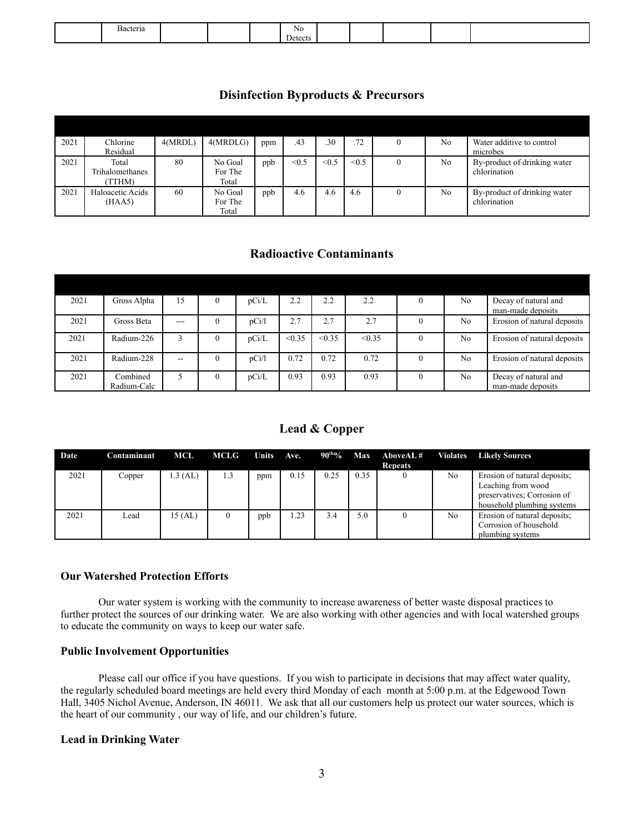| Bacteria |  | NΟ      |  |  |  |
|----------|--|---------|--|--|--|
|          |  | Jetects |  |  |  |

# **Disinfection Byproducts & Precursors**

| 2021 | Chlorine               | 4(MRDL) | 4(MRDLG) | ppm | .43   | .30   | .72   | 0 | No             | Water additive to control    |
|------|------------------------|---------|----------|-----|-------|-------|-------|---|----------------|------------------------------|
|      | Residual               |         |          |     |       |       |       |   |                | microbes                     |
| 2021 | Total                  | 80      | No Goal  | ppb | < 0.5 | < 0.5 | < 0.5 | 0 | N <sub>0</sub> | By-product of drinking water |
|      | <b>Trihalomethanes</b> |         | For The  |     |       |       |       |   |                | chlorination                 |
|      | <b>TTHM)</b>           |         | Total    |     |       |       |       |   |                |                              |
| 2021 | Haloacetic Acids       | 60      | No Goal  | ppb | 4.6   | 4.6   | 4.6   | 0 | No             | By-product of drinking water |
|      | (HAA5)                 |         | For The  |     |       |       |       |   |                | chlorination                 |
|      |                        |         | Total    |     |       |       |       |   |                |                              |

# **Radioactive Contaminants**

| 2021 | Gross Alpha             | 15      | $\theta$ | pCi/L | 2.2    | 2.2    | 2.2    | $\Omega$ | N <sub>0</sub> | Decay of natural and<br>man-made deposits |
|------|-------------------------|---------|----------|-------|--------|--------|--------|----------|----------------|-------------------------------------------|
| 2021 | Gross Beta              | $- - -$ | $\Omega$ | pCi/l | 2.7    | 2.7    | 2.7    | $\theta$ | N <sub>0</sub> | Erosion of natural deposits               |
| 2021 | Radium-226              | 3       |          | pCi/L | < 0.35 | < 0.35 | < 0.35 |          | No             | Erosion of natural deposits               |
| 2021 | Radium-228              | $-$     | $\theta$ | pCi/l | 0.72   | 0.72   | 0.72   | $\theta$ | N <sub>0</sub> | Erosion of natural deposits               |
| 2021 | Combined<br>Radium-Calc |         | $\theta$ | pCi/L | 0.93   | 0.93   | 0.93   | $\Omega$ | N <sub>o</sub> | Decay of natural and<br>man-made deposits |

# **Lead & Copper**

| Date | Contaminant | MCL     | <b>MCLG</b> | Units Ave. |      |      |      | $90^{th}\%$ Max AboveAL#<br><b>Repeats</b> |    | <b>Violates</b> Likely Sources                                                                                  |
|------|-------------|---------|-------------|------------|------|------|------|--------------------------------------------|----|-----------------------------------------------------------------------------------------------------------------|
| 2021 | Copper      | .3 (AL) | 1.3         | ppm        | 0.15 | 0.25 | 0.35 |                                            | No | Erosion of natural deposits:<br>Leaching from wood<br>preservatives; Corrosion of<br>household plumbing systems |
| 2021 | Lead        | 15 (AL) | $\theta$    | ppb        | .23  | 3.4  | 5.0  |                                            | No | Erosion of natural deposits:<br>Corrosion of household<br>plumbing systems                                      |

## **Our Watershed Protection Efforts**

Our water system is working with the community to increase awareness of better waste disposal practices to further protect the sources of our drinking water. We are also working with other agencies and with local watershed groups to educate the community on ways to keep our water safe.

#### **Public Involvement Opportunities**

Please call our office if you have questions. If you wish to participate in decisions that may affect water quality, the regularly scheduled board meetings are held every third Monday of each month at 5:00 p.m. at the Edgewood Town Hall, 3405 Nichol Avenue, Anderson, IN 46011. We ask that all our customers help us protect our water sources, which is the heart of our community , our way of life, and our children's future.

### **Lead in Drinking Water**